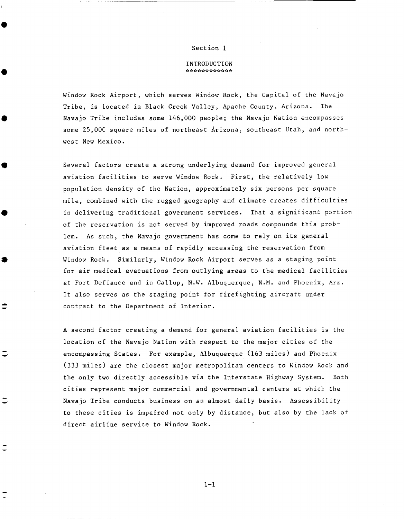## Section 1

## INTRODUCTION de de de de de de de de de de de de

Window Rock Airport, which serves Window Rock, the Capital of the Navajo Tribe, is located in Black Creek Valley, Apache County, Arizona. The Navajo Tribe includes some 146,000 people; the Navajo Nation encompasses some 25,000 square miles of northeast Arizona, southeast Utah, and northwest New Mexico.

Several factors create a strong underlying demand for improved general aviation facilities to serve Window Rock. First, the relatively low population density of the Nation, approximately six persons per square mile, combined with the rugged geography and climate creates difficulties in delivering traditional government services. That a significant portion of the reservation is not served by improved roads compounds this problem. As such, the Navajo government has come to rely on its general aviation fleet as a means of rapidly accessing the reservation from Window Rock. Similarly, Window Rock Airport serves as a staging point for air medical evacuations from outlying areas to the medical facilities at Fort Defiance and in Gallup, N.W. Albuquerque, N.M. and Phoenix, Arz. It also serves as the staging point for firefigbting aircraft under contract to the Department of Interior.

A second factor creating a demand for general aviation facilities is the location of the Navajo Nation with respect to the major cities of the encompassing States. For example, Albuquerque (163 miles) and Phoenix (333 miles) are the closest major metropolitan centers to Window Rock and the only two directly accessible via the Interstate Highway System. Both cities represent major commercial and governmental centers at which the Navajo Tribe conducts business on an almost daily basis. Assessibility to these cities is impaired not only by distance, but also by the lack of direct airline service to Window Rock.

≘

 $1 - 1$